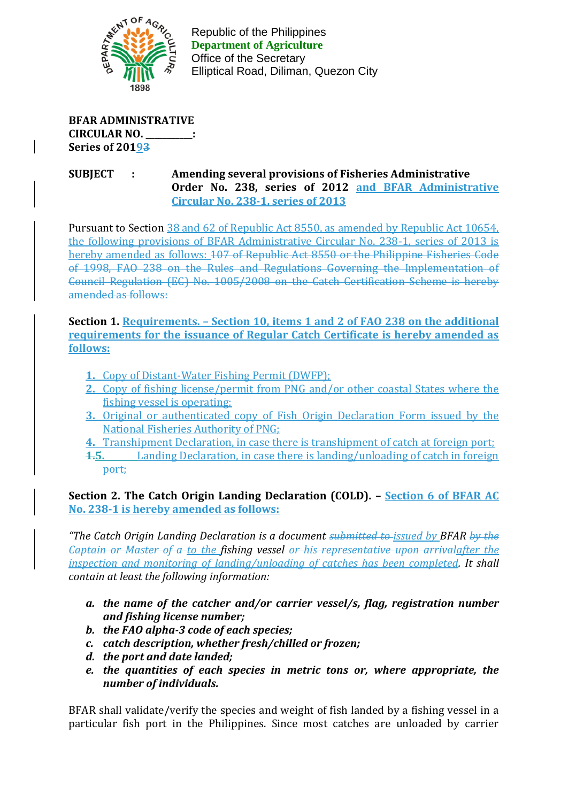

Republic of the Philippines Republic of the Philippines **Department of Agriculture Department of Agriculture** Office of the Secretary Office of the Secretary Elliptical Road, Diliman, Quezon City Elliptical Road, Diliman, Quezon City

**BFAR ADMINISTRATIVE CIRCULAR NO. \_\_\_\_\_\_\_\_\_\_\_: Series of 20193**

## **SUBJECT : Amending several provisions of Fisheries Administrative Order No. 238, series of 2012 and BFAR Administrative Circular No. 238-1, series of 2013**

Pursuant to Section 38 and 62 of Republic Act 8550, as amended by Republic Act 10654, the following provisions of BFAR Administrative Circular No. 238-1, series of 2013 is hereby amended as follows: 107 of Republic Act 8550 or the Philippine Fisheries Code of 1998, FAO 238 on the Rules and Regulations Governing the Implementation of Council Regulation (EC) No. 1005/2008 on the Catch Certification Scheme is hereby amended as follows:

**Section 1. Requirements. – Section 10, items 1 and 2 of FAO 238 on the additional requirements for the issuance of Regular Catch Certificate is hereby amended as follows:**

- **1.** Copy of Distant-Water Fishing Permit (DWFP);
- **2.** Copy of fishing license/permit from PNG and/or other coastal States where the fishing vessel is operating;
- **3.** Original or authenticated copy of Fish Origin Declaration Form issued by the National Fisheries Authority of PNG;
- **4.** Transhipment Declaration, in case there is transhipment of catch at foreign port;
- **1.5.** Landing Declaration, in case there is landing/unloading of catch in foreign port;

**Section 2. The Catch Origin Landing Declaration (COLD). – Section 6 of BFAR AC No. 238-1 is hereby amended as follows:** 

*"The Catch Origin Landing Declaration is a document submitted to issued by BFAR by the Captain or Master of a to the fishing vessel or his representative upon arrivalafter the inspection and monitoring of landing/unloading of catches has been completed. It shall contain at least the following information:*

- *a. the name of the catcher and/or carrier vessel/s, flag, registration number and fishing license number;*
- *b. the FAO alpha-3 code of each species;*
- *c. catch description, whether fresh/chilled or frozen;*
- *d. the port and date landed;*
- *e. the quantities of each species in metric tons or, where appropriate, the number of individuals.*

BFAR shall validate/verify the species and weight of fish landed by a fishing vessel in a particular fish port in the Philippines. Since most catches are unloaded by carrier